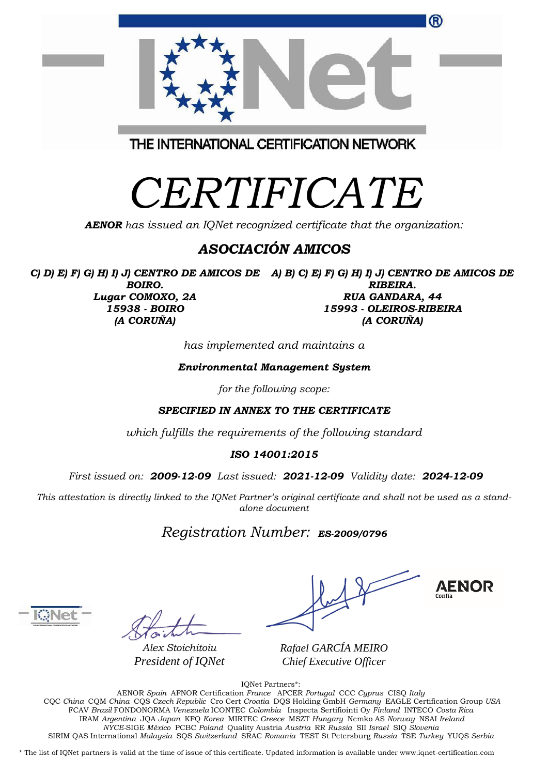| ®                                       |  |
|-----------------------------------------|--|
| THE INTERNATIONAL CERTIFICATION NETWORK |  |

## *CERTIFICATE*

*AENOR has issued an IQNet recognized certificate that the organization:*

## *ASOCIACIÓN AMICOS*

*C) D) E) F) G) H) I) J) CENTRO DE AMICOS DE A) B) C) E) F) G) H) I) J) CENTRO DE AMICOS DE BOIRO. Lugar COMOXO, 2A 15938 - BOIRO (A CORUÑA) RIBEIRA. RUA GANDARA, 44 15993 - OLEIROS-RIBEIRA (A CORUÑA)*

*has implemented and maintains a*

*Environmental Management System*

*for the following scope:* 

*SPECIFIED IN ANNEX TO THE CERTIFICATE*

*which fulfills the requirements of the following standard*

## *ISO 14001:2015*

*First issued on: 2009-12-09 Last issued: 2021-12-09 Validity date: 2024-12-09*

This attestation is directly linked to the IQNet Partner's original certificate and shall not be used as a stand*alone document*

## *Registration Number: ES-2009/0796*

*Alex Stoichitoiu President of IQNet*

**AENOR** 

*Rafael GARCÍA MEIRO Chief Executive Officer*

IQNet Partners\*:

AENOR *Spain* AFNOR Certification *France* APCER *Portugal* CCC *Cyprus* CISQ *Italy* CQC *China* CQM *China* CQS *Czech Republic* Cro Cert *Croatia* DQS Holding GmbH *Germany* EAGLE Certification Group *USA* FCAV *Brazil* FONDONORMA *Venezuela* ICONTEC *Colombia* Inspecta Sertifiointi Oy *Finland* INTECO *Costa Rica* IRAM *Argentina* JQA *Japan* KFQ *Korea* MIRTEC *Greece* MSZT *Hungary* Nemko AS *Norway* NSAI *Ireland NYCE-*SIGE *México* PCBC *Poland* Quality Austria *Austria* RR *Russia* SII *Israel* SIQ *Slovenia*  SIRIM QAS International *Malaysia* SQS *Switzerland* SRAC *Romania* TEST St Petersburg *Russia* TSE *Turkey* YUQS *Serbia*

\* The list of IQNet partners is valid at the time of issue of this certificate. Updated information is available under www.iqnet-certification.com